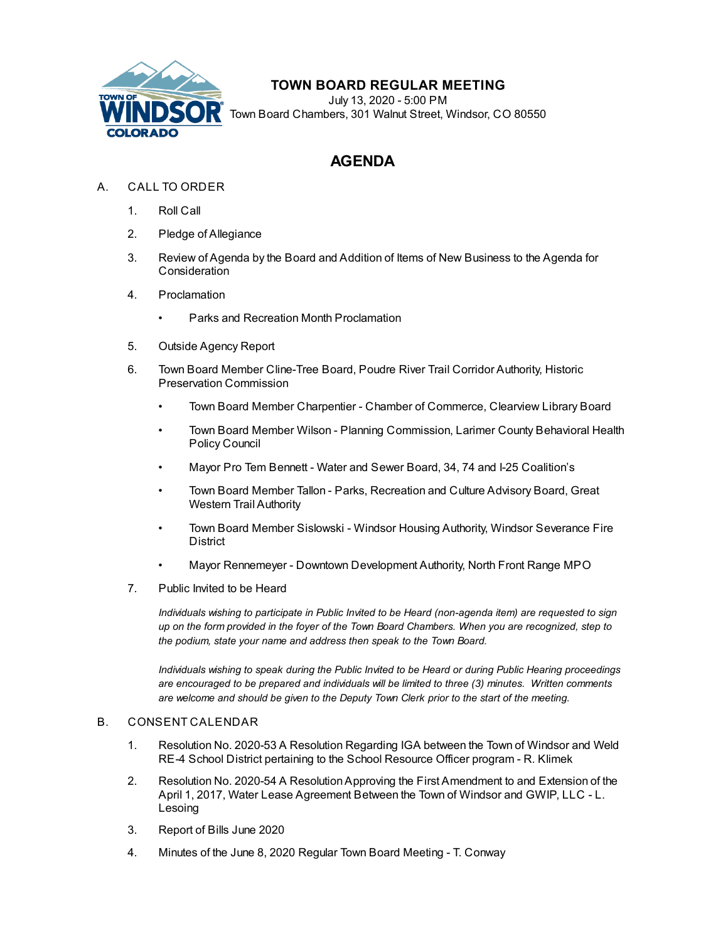

## **TOWN BOARD REGULAR MEETING**

July 13, 2020 - 5:00 PM Town Board Chambers, 301 Walnut Street, Windsor, CO 80550

# **AGENDA**

- A. CALL TO ORDER
	- 1. Roll Call
	- 2. Pledge of Allegiance
	- 3. Review of Agenda by the Board and Addition of Items of New Business to the Agenda for **Consideration**
	- 4. Proclamation
		- Parks and Recreation Month Proclamation
	- 5. Outside Agency Report
	- 6. Town Board Member Cline-Tree Board, Poudre River Trail Corridor Authority, Historic Preservation Commission
		- Town Board Member Charpentier Chamber of Commerce, Clearview Library Board
		- Town Board Member Wilson Planning Commission, Larimer County Behavioral Health Policy Council
		- Mayor Pro Tem Bennett Water and Sewer Board, 34, 74 and I-25 Coalition's
		- Town Board Member Tallon Parks, Recreation and Culture Advisory Board, Great Western Trail Authority
		- Town Board Member Sislowski Windsor Housing Authority, Windsor Severance Fire **District**
		- Mayor Rennemeyer Downtown Development Authority, North Front Range MPO
	- 7. Public Invited to be Heard

*Individuals wishing to participate in Public Invited to be Heard (non-agenda item) are requested to sign* up on the form provided in the foyer of the Town Board Chambers. When you are recognized, step to *the podium, state your name and address then speak to the Town Board.*

*Individuals wishing to speak during the Public Invited to be Heard or during Public Hearing proceedings are encouraged to be prepared and individuals will be limited to three (3) minutes. Written comments are welcome and should be given to the Deputy Town Clerk prior to the start of the meeting.*

#### B. CONSENT CALENDAR

- 1. [Resolution](file:///C:/Windows/TEMP/CoverSheet.aspx?ItemID=932&MeetingID=126) No. 2020-53 A Resolution Regarding IGA between the Town of Windsor and Weld RE-4 School District pertaining to the School Resource Officer program - R. Klimek
- 2. Resolution No. 2020-54 A [ResolutionApproving](file:///C:/Windows/TEMP/CoverSheet.aspx?ItemID=935&MeetingID=126) the First Amendment to and Extension of the April 1, 2017, Water Lease Agreement Between the Town of Windsor and GWIP, LLC - L. Lesoing
- 3. [Report](file:///C:/Windows/TEMP/CoverSheet.aspx?ItemID=939&MeetingID=126) of Bills June 2020
- 4. Minutes of the June 8, 2020 Regular Town Board [Meeting](file:///C:/Windows/TEMP/CoverSheet.aspx?ItemID=945&MeetingID=126) T. Conway